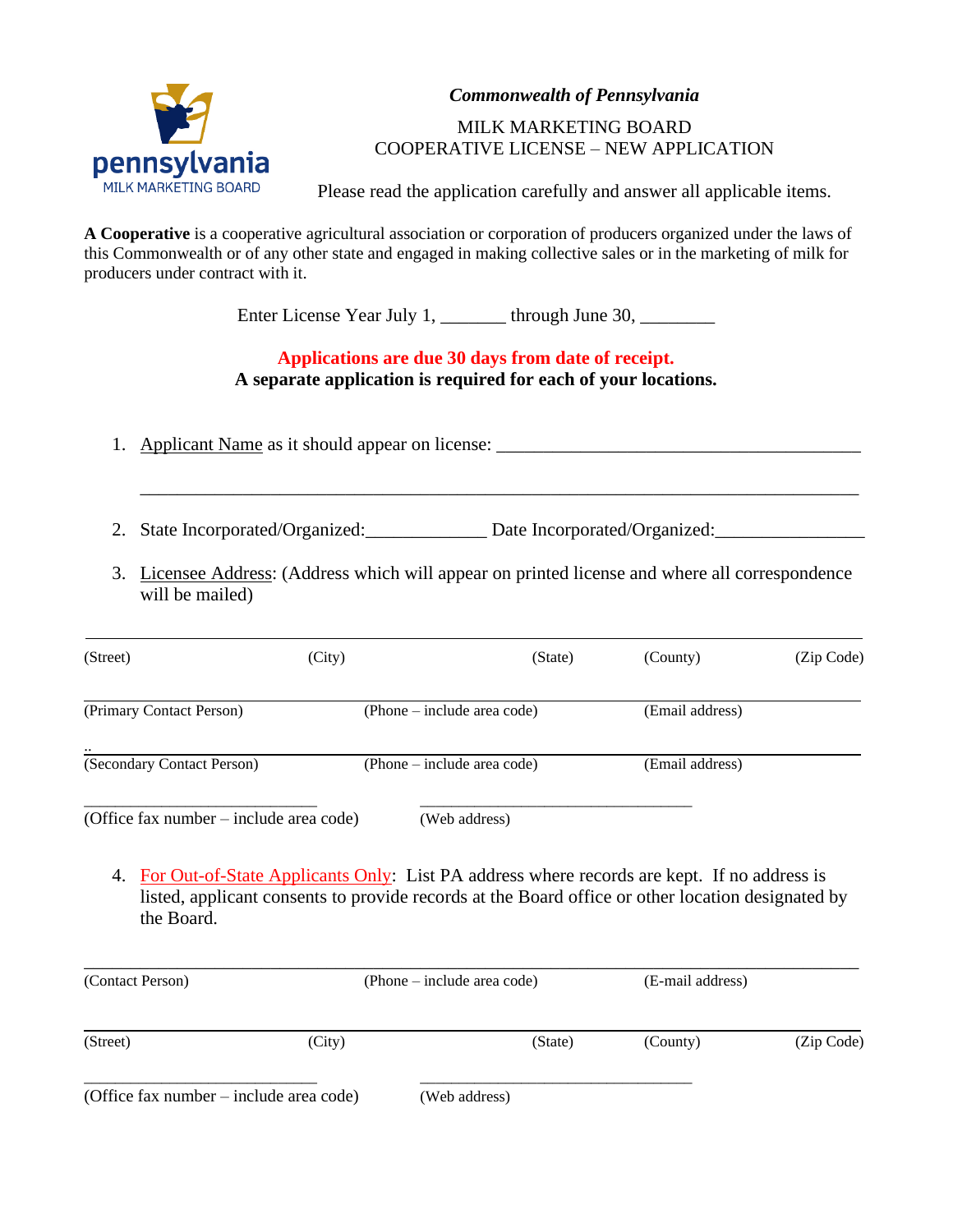

*Commonwealth of Pennsylvania*

# MILK MARKETING BOARD COOPERATIVE LICENSE – NEW APPLICATION

Please read the application carefully and answer all applicable items.

**A Cooperative** is a cooperative agricultural association or corporation of producers organized under the laws of this Commonwealth or of any other state and engaged in making collective sales or in the marketing of milk for producers under contract with it.

Enter License Year July 1, \_\_\_\_\_\_\_\_ through June 30, \_\_\_\_\_\_\_\_

# **Applications are due 30 days from date of receipt. A separate application is required for each of your locations.**

1. Applicant Name as it should appear on license: \_\_\_\_\_\_\_\_\_\_\_\_\_\_\_\_\_\_\_\_\_\_\_\_\_\_\_\_\_\_

2. State Incorporated/Organized: Date Incorporated/Organized: 2. State Incorporated/Organized:

3. Licensee Address: (Address which will appear on printed license and where all correspondence will be mailed)

\_\_\_\_\_\_\_\_\_\_\_\_\_\_\_\_\_\_\_\_\_\_\_\_\_\_\_\_\_\_\_\_\_\_\_\_\_\_\_\_\_\_\_\_\_\_\_\_\_\_\_\_\_\_\_\_\_\_\_\_\_\_\_\_\_\_\_\_\_\_\_\_\_\_\_\_\_

| (Street)                                | (City) | (State)                     | (County)        | (Zip Code) |
|-----------------------------------------|--------|-----------------------------|-----------------|------------|
| (Primary Contact Person)                |        | (Phone – include area code) | (Email address) |            |
| (Secondary Contact Person)              |        | (Phone – include area code) | (Email address) |            |
| (Office fax number – include area code) |        | (Web address)               |                 |            |

4. For Out-of-State Applicants Only: List PA address where records are kept. If no address is listed, applicant consents to provide records at the Board office or other location designated by the Board.

| (Contact Person)                        | (Phone – include area code) |               | (E-mail address) |            |
|-----------------------------------------|-----------------------------|---------------|------------------|------------|
| (Street)                                | (City)                      | (State)       | (County)         | (Zip Code) |
| (Office fax number – include area code) |                             | (Web address) |                  |            |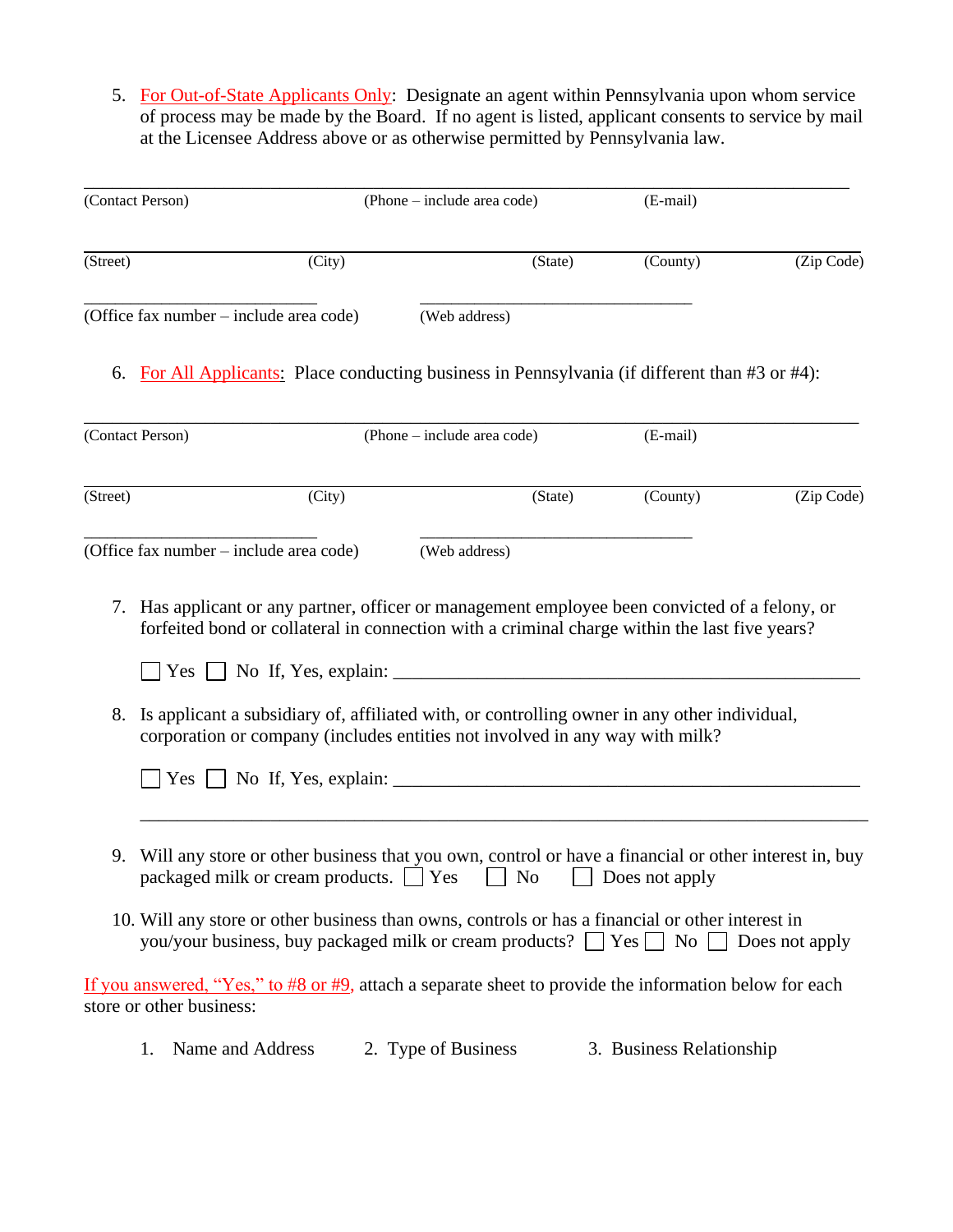5. For Out-of-State Applicants Only: Designate an agent within Pennsylvania upon whom service of process may be made by the Board. If no agent is listed, applicant consents to service by mail at the Licensee Address above or as otherwise permitted by Pennsylvania law.

|          | (Contact Person)                            |        | (Phone – include area code)                                                                                                                                                                                                                                                                                                                                                     |         | (E-mail)                 |            |
|----------|---------------------------------------------|--------|---------------------------------------------------------------------------------------------------------------------------------------------------------------------------------------------------------------------------------------------------------------------------------------------------------------------------------------------------------------------------------|---------|--------------------------|------------|
| (Street) |                                             | (City) |                                                                                                                                                                                                                                                                                                                                                                                 | (State) | (County)                 | (Zip Code) |
|          | (Office fax number – include area code)     |        | (Web address)                                                                                                                                                                                                                                                                                                                                                                   |         |                          |            |
|          |                                             |        | 6. For All Applicants: Place conducting business in Pennsylvania (if different than #3 or #4):                                                                                                                                                                                                                                                                                  |         |                          |            |
|          | (Contact Person)                            |        | (Phone - include area code)                                                                                                                                                                                                                                                                                                                                                     |         | (E-mail)                 |            |
| (Street) |                                             | (City) |                                                                                                                                                                                                                                                                                                                                                                                 | (State) | (County)                 | (Zip Code) |
|          | (Office fax number – include area code)     |        | (Web address)                                                                                                                                                                                                                                                                                                                                                                   |         |                          |            |
| 8.       |                                             |        | 7. Has applicant or any partner, officer or management employee been convicted of a felony, or<br>forfeited bond or collateral in connection with a criminal charge within the last five years?<br>Is applicant a subsidiary of, affiliated with, or controlling owner in any other individual,<br>corporation or company (includes entities not involved in any way with milk? |         |                          |            |
| 9.       | packaged milk or cream products. $\Box$ Yes |        | Will any store or other business that you own, control or have a financial or other interest in, buy<br>$\Box$ No                                                                                                                                                                                                                                                               |         | Does not apply           |            |
|          |                                             |        | 10. Will any store or other business than owns, controls or has a financial or other interest in<br>you/your business, buy packaged milk or cream products? $\Box$ Yes $\Box$ No $\Box$ Does not apply                                                                                                                                                                          |         |                          |            |
|          | store or other business:                    |        | If you answered, "Yes," to #8 or #9, attach a separate sheet to provide the information below for each                                                                                                                                                                                                                                                                          |         |                          |            |
|          | Name and Address                            |        | 2. Type of Business                                                                                                                                                                                                                                                                                                                                                             |         | 3. Business Relationship |            |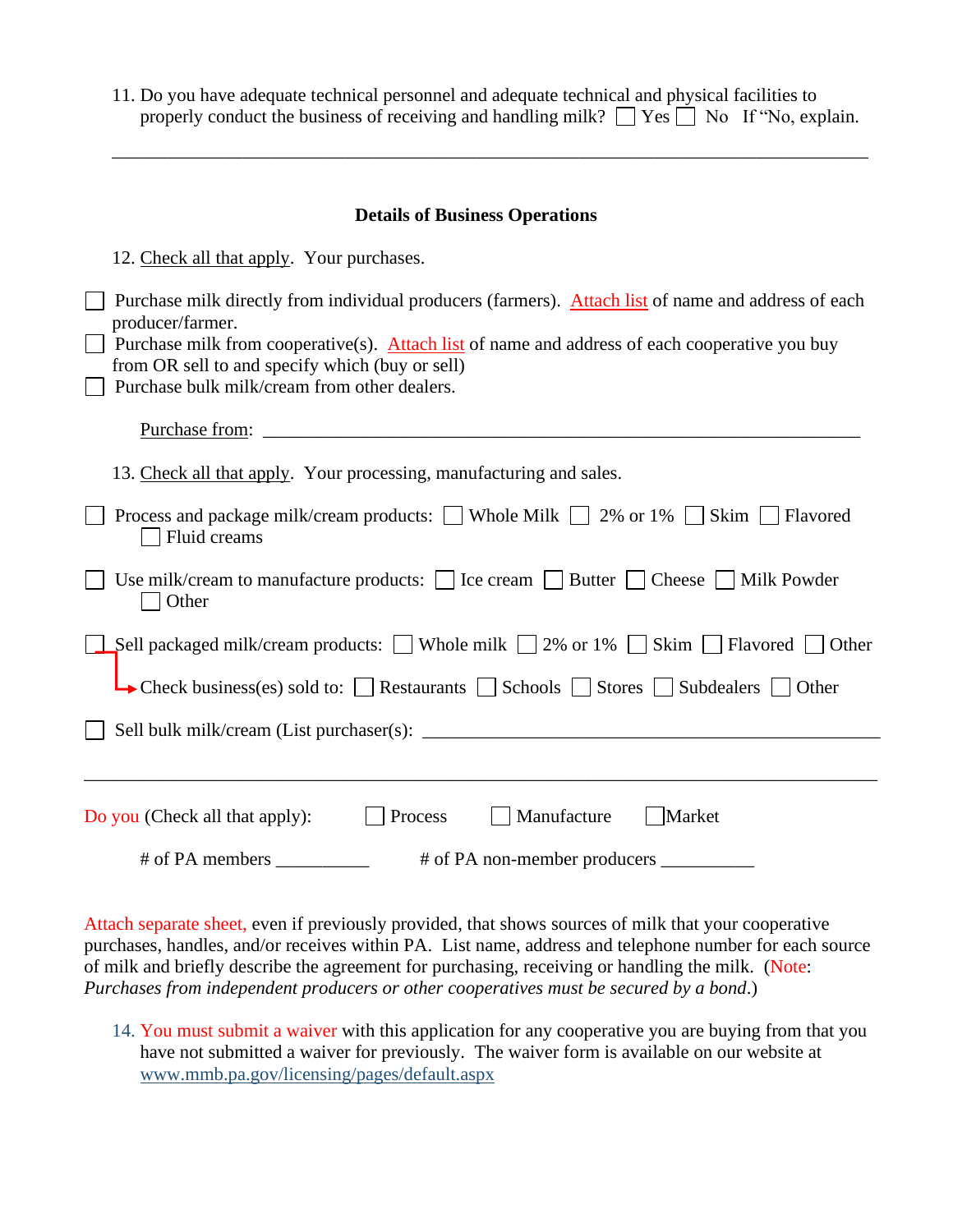| 11. Do you have a dequate technical personnel and a dequate technical and physical facilities to    |
|-----------------------------------------------------------------------------------------------------|
| properly conduct the business of receiving and handling milk? $\Box$ Yes $\Box$ No If "No, explain. |

\_\_\_\_\_\_\_\_\_\_\_\_\_\_\_\_\_\_\_\_\_\_\_\_\_\_\_\_\_\_\_\_\_\_\_\_\_\_\_\_\_\_\_\_\_\_\_\_\_\_\_\_\_\_\_\_\_\_\_\_\_\_\_\_\_\_\_\_\_\_\_\_\_\_\_\_\_\_\_\_\_

| <b>Details of Business Operations</b>                                                                                                                                                                                                                                                                                        |  |  |  |  |
|------------------------------------------------------------------------------------------------------------------------------------------------------------------------------------------------------------------------------------------------------------------------------------------------------------------------------|--|--|--|--|
| 12. Check all that apply. Your purchases.                                                                                                                                                                                                                                                                                    |  |  |  |  |
| Purchase milk directly from individual producers (farmers). Attach list of name and address of each<br>producer/farmer.<br>Purchase milk from cooperative(s). Attach list of name and address of each cooperative you buy<br>from OR sell to and specify which (buy or sell)<br>Purchase bulk milk/cream from other dealers. |  |  |  |  |
|                                                                                                                                                                                                                                                                                                                              |  |  |  |  |
| 13. Check all that apply. Your processing, manufacturing and sales.                                                                                                                                                                                                                                                          |  |  |  |  |
| Process and package milk/cream products: Whole Milk $\Box$ 2% or 1% $\Box$ Skim $\Box$ Flavored<br>Fluid creams                                                                                                                                                                                                              |  |  |  |  |
| Use milk/cream to manufacture products: $\Box$ Ice cream $\Box$ Butter $\Box$ Cheese $\Box$ Milk Powder<br>Other                                                                                                                                                                                                             |  |  |  |  |
| <b>Sell packaged milk/cream products:</b> ■ Whole milk ■ 2% or 1% ■ Skim ■ Flavored ■ Other                                                                                                                                                                                                                                  |  |  |  |  |
| $\rightarrow$ Check business(es) sold to: $\Box$ Restaurants $\Box$ Schools $\Box$ Stores $\Box$ Subdealers $\Box$ Other                                                                                                                                                                                                     |  |  |  |  |
|                                                                                                                                                                                                                                                                                                                              |  |  |  |  |
|                                                                                                                                                                                                                                                                                                                              |  |  |  |  |
| Manufacture<br>Market<br>Do you (Check all that apply):<br>Process                                                                                                                                                                                                                                                           |  |  |  |  |
| # of PA non-member producers                                                                                                                                                                                                                                                                                                 |  |  |  |  |

Attach separate sheet, even if previously provided, that shows sources of milk that your cooperative purchases, handles, and/or receives within PA. List name, address and telephone number for each source of milk and briefly describe the agreement for purchasing, receiving or handling the milk. (Note: *Purchases from independent producers or other cooperatives must be secured by a bond*.)

14. You must submit a waiver with this application for any cooperative you are buying from that you have not submitted a waiver for previously. The waiver form is available on our website at www.mmb.pa.gov/licensing/pages/default.aspx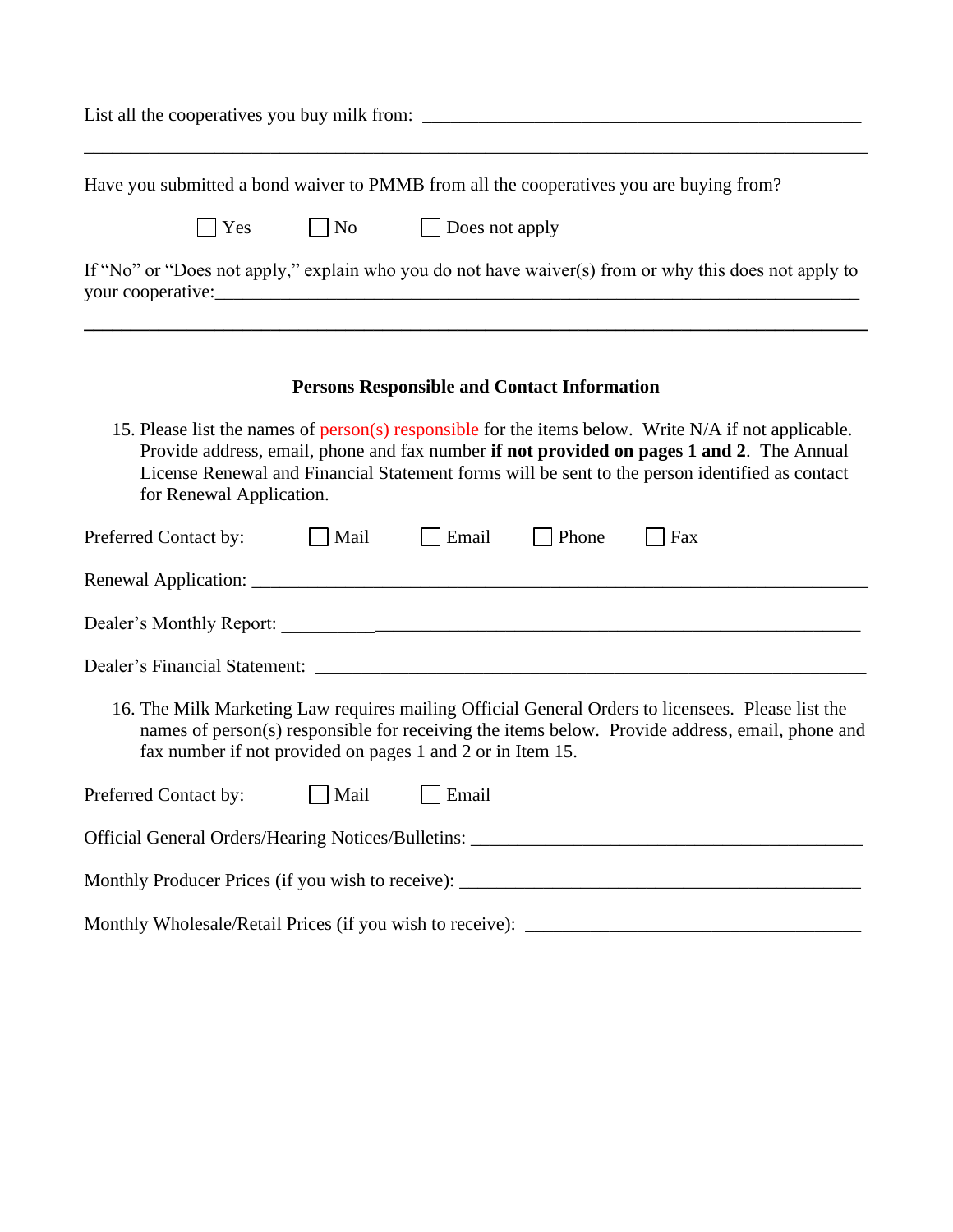| Have you submitted a bond waiver to PMMB from all the cooperatives you are buying from?                                                                                                                                                                                                                                         |
|---------------------------------------------------------------------------------------------------------------------------------------------------------------------------------------------------------------------------------------------------------------------------------------------------------------------------------|
| $\blacksquare$ Yes $\blacksquare$ No<br>$\Box$ Does not apply                                                                                                                                                                                                                                                                   |
| If "No" or "Does not apply," explain who you do not have waiver(s) from or why this does not apply to                                                                                                                                                                                                                           |
| <b>Persons Responsible and Contact Information</b>                                                                                                                                                                                                                                                                              |
| 15. Please list the names of person(s) responsible for the items below. Write N/A if not applicable.<br>Provide address, email, phone and fax number if not provided on pages 1 and 2. The Annual<br>License Renewal and Financial Statement forms will be sent to the person identified as contact<br>for Renewal Application. |
| Preferred Contact by:<br>    Mail<br>$\vert$ Email<br>$\vert$ Phone<br>Fax                                                                                                                                                                                                                                                      |
|                                                                                                                                                                                                                                                                                                                                 |
|                                                                                                                                                                                                                                                                                                                                 |
|                                                                                                                                                                                                                                                                                                                                 |
| 16. The Milk Marketing Law requires mailing Official General Orders to licensees. Please list the<br>names of person(s) responsible for receiving the items below. Provide address, email, phone and<br>fax number if not provided on pages 1 and 2 or in Item 15.                                                              |
| Preferred Contact by:<br>  Mail<br>Email                                                                                                                                                                                                                                                                                        |
|                                                                                                                                                                                                                                                                                                                                 |
|                                                                                                                                                                                                                                                                                                                                 |
|                                                                                                                                                                                                                                                                                                                                 |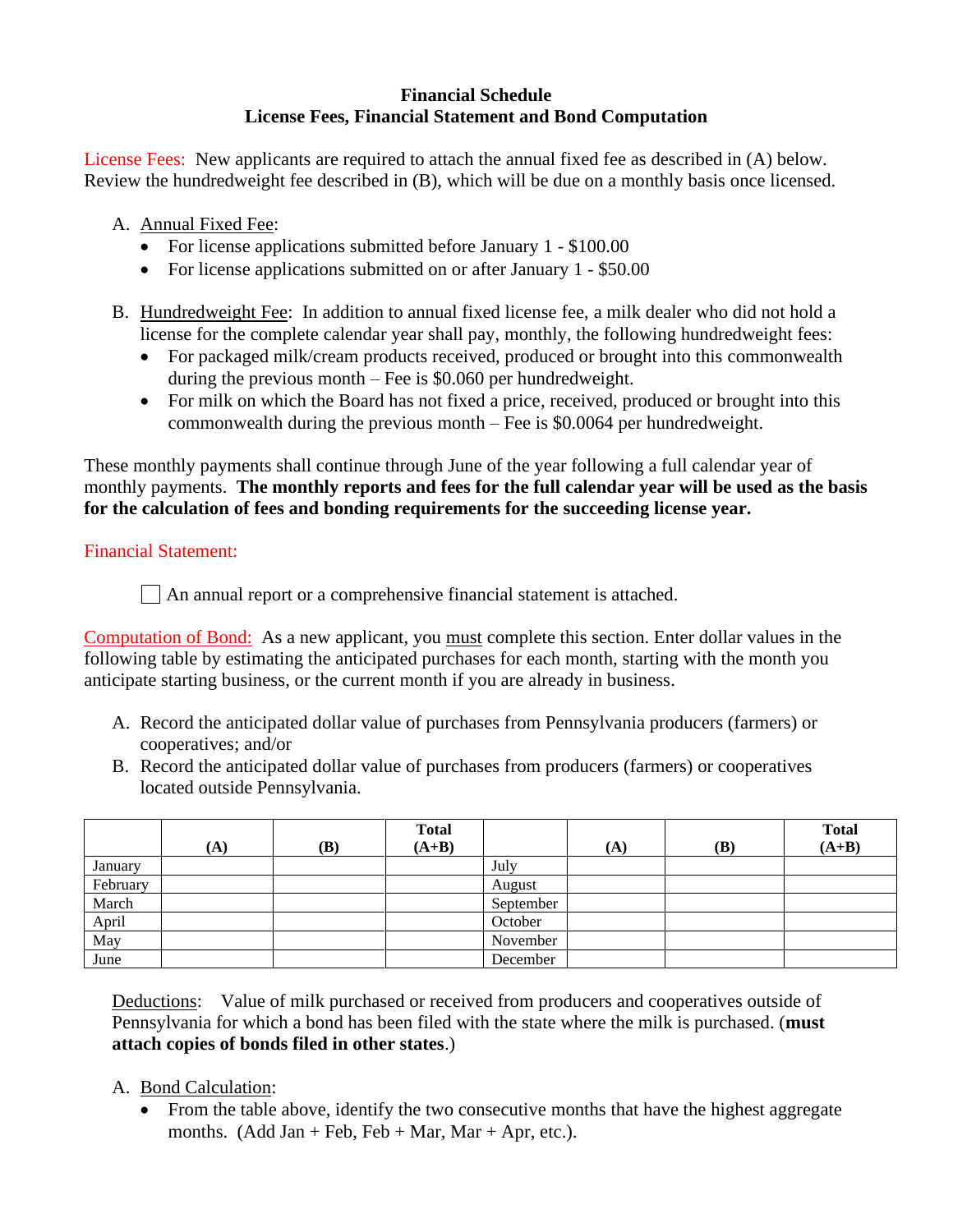#### **Financial Schedule License Fees, Financial Statement and Bond Computation**

License Fees: New applicants are required to attach the annual fixed fee as described in (A) below. Review the hundredweight fee described in (B), which will be due on a monthly basis once licensed.

A. Annual Fixed Fee:

- For license applications submitted before January 1 \$100.00
- For license applications submitted on or after January 1 \$50.00
- B. Hundredweight Fee: In addition to annual fixed license fee, a milk dealer who did not hold a license for the complete calendar year shall pay, monthly, the following hundredweight fees:
	- For packaged milk/cream products received, produced or brought into this commonwealth during the previous month – Fee is \$0.060 per hundredweight.
	- For milk on which the Board has not fixed a price, received, produced or brought into this commonwealth during the previous month – Fee is \$0.0064 per hundredweight.

These monthly payments shall continue through June of the year following a full calendar year of monthly payments. **The monthly reports and fees for the full calendar year will be used as the basis for the calculation of fees and bonding requirements for the succeeding license year.**

# Financial Statement:

An annual report or a comprehensive financial statement is attached.

Computation of Bond: As a new applicant, you must complete this section. Enter dollar values in the following table by estimating the anticipated purchases for each month, starting with the month you anticipate starting business, or the current month if you are already in business.

- A. Record the anticipated dollar value of purchases from Pennsylvania producers (farmers) or cooperatives; and/or
- B. Record the anticipated dollar value of purchases from producers (farmers) or cooperatives located outside Pennsylvania.

|          | (A) | (B) | <b>Total</b><br>$(A+B)$ |           | $({\bf A})$ | (B) | <b>Total</b><br>$(A+B)$ |
|----------|-----|-----|-------------------------|-----------|-------------|-----|-------------------------|
| January  |     |     |                         | July      |             |     |                         |
| February |     |     |                         | August    |             |     |                         |
| March    |     |     |                         | September |             |     |                         |
| April    |     |     |                         | October   |             |     |                         |
| May      |     |     |                         | November  |             |     |                         |
| June     |     |     |                         | December  |             |     |                         |

Deductions: Value of milk purchased or received from producers and cooperatives outside of Pennsylvania for which a bond has been filed with the state where the milk is purchased. (**must attach copies of bonds filed in other states**.)

- A. Bond Calculation:
	- From the table above, identify the two consecutive months that have the highest aggregate months. (Add Jan + Feb, Feb + Mar, Mar + Apr, etc.).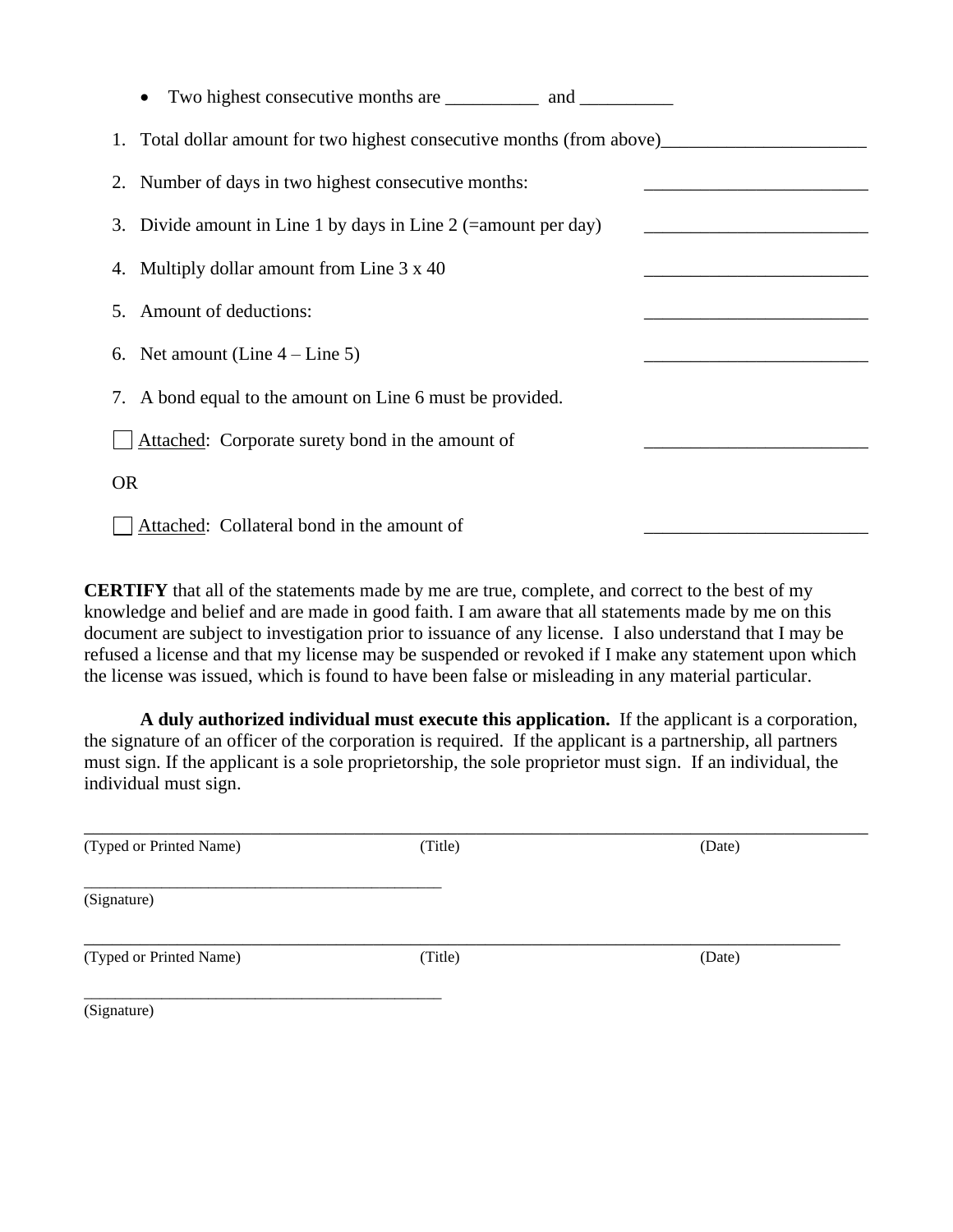| $\bullet$                                                              |
|------------------------------------------------------------------------|
| 1. Total dollar amount for two highest consecutive months (from above) |
| 2. Number of days in two highest consecutive months:                   |
| 3. Divide amount in Line 1 by days in Line 2 (= amount per day)        |
| 4. Multiply dollar amount from Line 3 x 40                             |
| 5. Amount of deductions:                                               |
| 6. Net amount (Line $4$ – Line 5)                                      |
| 7. A bond equal to the amount on Line 6 must be provided.              |
| Attached: Corporate surety bond in the amount of                       |
| <b>OR</b>                                                              |
| Attached: Collateral bond in the amount of                             |

**CERTIFY** that all of the statements made by me are true, complete, and correct to the best of my knowledge and belief and are made in good faith. I am aware that all statements made by me on this document are subject to investigation prior to issuance of any license. I also understand that I may be refused a license and that my license may be suspended or revoked if I make any statement upon which the license was issued, which is found to have been false or misleading in any material particular.

**A duly authorized individual must execute this application.** If the applicant is a corporation, the signature of an officer of the corporation is required. If the applicant is a partnership, all partners must sign. If the applicant is a sole proprietorship, the sole proprietor must sign. If an individual, the individual must sign.

| (Typed or Printed Name) | (Title) | (Date) |  |
|-------------------------|---------|--------|--|
| (Signature)             |         |        |  |
| (Typed or Printed Name) | (Title) | (Date) |  |
| (Signature)             |         |        |  |